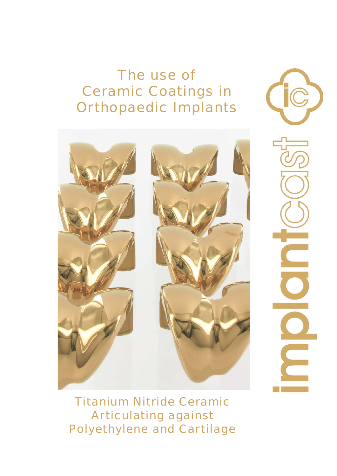# The use of Ceramic Coatings in Orthopaedic Implants



Ξ

Titanium Nitride Ceramic Articulating against Polyethylene and Cartilage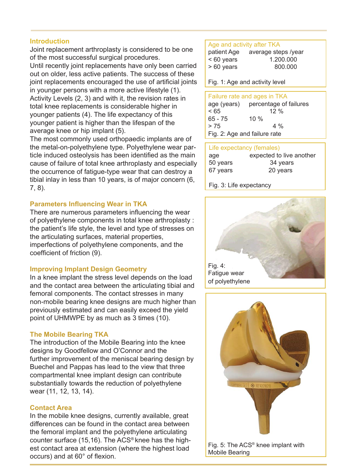#### **Introduction**

Joint replacement arthroplasty is considered to be one of the most successful surgical procedures. Until recently joint replacements have only been carried out on older, less active patients. The success of these joint replacements encouraged the use of artificial joints in younger persons with a more active lifestyle (1). Activity Levels (2, 3) and with it, the revision rates in total knee replacements is considerable higher in younger patients (4). The life expectancy of this younger patient is higher than the lifespan of the average knee or hip implant (5).

The most commonly used orthopaedic implants are of the metal-on-polyethylene type. Polyethylene wear particle induced osteolysis has been identified as the main cause of failure of total knee arthroplasty and especially the occurrence of fatigue-type wear that can destroy a tibial inlay in less than 10 years, is of major concern (6, 7, 8).

# **Parameters Influencing Wear in TKA**

There are numerous parameters influencing the wear of polyethylene components in total knee arthroplasty : the patient's life style, the level and type of stresses on the articulating surfaces, material properties, imperfections of polyethylene components, and the coefficient of friction (9).

# **Improving Implant Design Geometry**

In a knee implant the stress level depends on the load and the contact area between the articulating tibial and femoral components. The contact stresses in many non-mobile bearing knee designs are much higher than previously estimated and can easily exceed the yield point of UHMWPE by as much as 3 times (10).

# **The Mobile Bearing TKA**

The introduction of the Mobile Bearing into the knee designs by Goodfellow and O'Connor and the further improvement of the meniscal bearing design by Buechel and Pappas has lead to the view that three compartmental knee implant design can contribute substantially towards the reduction of polyethylene wear (11, 12, 13, 14).

#### **Contact Area**

In the mobile knee designs, currently available, great differences can be found in the contact area between the femoral implant and the polyethylene articulating counter surface (15,16). The ACS® knee has the highest contact area at extension (where the highest load  $occurs)$  and at  $60^\circ$  of flexion.

#### Age and activity after TKA

| patient Age  | average steps /year |
|--------------|---------------------|
| $< 60$ years | 1.200.000           |
| $>60$ years  | 800.000             |

Fig. 1: Age and activity level

| Failure rate and ages in TKA |                                    |
|------------------------------|------------------------------------|
|                              | age (years) percentage of failures |
| < 65                         | $12\%$                             |
| $65 - 75$                    | 10 $%$                             |
| > 75                         | $4\%$                              |
| Fig. 2: Age and failure rate |                                    |

| Life expectancy (females) |                          |
|---------------------------|--------------------------|
| age                       | expected to live another |
| 50 years                  | 34 years                 |
| 67 years                  | 20 years                 |
|                           |                          |

Fig. 3: Life expectancy





Fig. 5: The ACS® knee implant with Mobile Bearing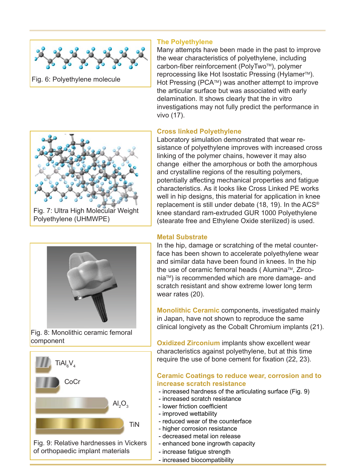



Fig. 7: Ultra High Molecular Weight Polyethylene (UHMWPE)



Fig. 8: Monolithic ceramic femoral component



Fig. 9: Relative hardnesses in Vickers of orthopaedic implant materials

# **The Polyethylene**

Many attempts have been made in the past to improve the wear characteristics of polyethylene, including carbon-fiber reinforcement (PolyTwo™), polymer reprocessing like Hot Isostatic Pressing (Hylamer<sup>™</sup>). Hot Pressing (PCA™) was another attempt to improve the articular surface but was associated with early delamination. It shows clearly that the in vitro investigations may not fully predict the performance in vivo (17).

# **Cross linked Polyethylene**

Laboratory simulation demonstrated that wear resistance of polyethylene improves with increased cross linking of the polymer chains, however it may also change either the amorphous or both the amorphous and crystalline regions of the resulting polymers, potentially affecting mechanical properties and fatigue characteristics. As it looks like Cross Linked PE works well in hip designs, this material for application in knee replacement is still under debate (18, 19). In the ACS® knee standard ram-extruded GUR 1000 Polyethylene (stearate free and Ethylene Oxide sterilized) is used.

### **Metal Substrate**

In the hip, damage or scratching of the metal counterface has been shown to accelerate polyethylene wear and similar data have been found in knees. In the hip the use of ceramic femoral heads ( Alumina™, ZirconiaTM) is recommended which are more damage- and scratch resistant and show extreme lower long term wear rates (20).

**Monolithic Ceramic** components, investigated mainly in Japan, have not shown to reproduce the same clinical longivety as the Cobalt Chromium implants (21).

**Oxidized Zirconium** implants show excellent wear characteristics against polyethylene, but at this time require the use of bone cement for fixation (22, 23).

# **Ceramic Coatings to reduce wear, corrosion and to increase scratch resistance**

- increased hardness of the articulating surface (Fig. 9)

- increased scratch resistance
- lower friction coefficient
- improved wettability
- reduced wear of the counterface
- higher corrosion resistance
- decreased metal ion release
- enhanced bone ingrowth capacity
- increase fatigue strength
- increased biocompatibility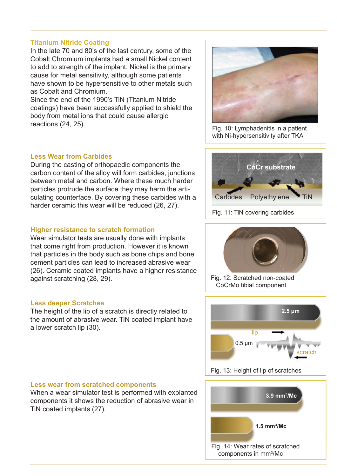#### **Titanium Nitride Coating**

In the late 70 and 80's of the last century, some of the Cobalt Chromium implants had a small Nickel content to add to strength of the implant. Nickel is the primary cause for metal sensitivity, although some patients have shown to be hypersensitive to other metals such as Cobalt and Chromium.

Since the end of the 1990's TiN (Titanium Nitride coatings) have been successfully applied to shield the body from metal ions that could cause allergic reactions (24, 25).

#### **Less Wear from Carbides**

During the casting of orthopaedic components the carbon content of the alloy will form carbides, junctions between metal and carbon. Where these much harder particles protrude the surface they may harm the articulating counterface. By covering these carbides with a harder ceramic this wear will be reduced (26, 27).

#### **Higher resistance to scratch formation**

Wear simulator tests are usually done with implants that come right from production. However it is known that particles in the body such as bone chips and bone cement particles can lead to increased abrasive wear (26). Ceramic coated implants have a higher resistance against scratching (28, 29).

#### **Less deeper Scratches**

The height of the lip of a scratch is directly related to the amount of abrasive wear. TiN coated implant have a lower scratch lip (30).



Fig. 10: Lymphadenitis in a patient with Ni-hypersensitivity after TKA





Fig. 12: Scratched non-coated CoCrMo tibial component



Fig. 13: Height of lip of scratches

#### **Less wear from scratched components**

When a wear simulator test is performed with explanted components it shows the reduction of abrasive wear in TiN coated implants (27).

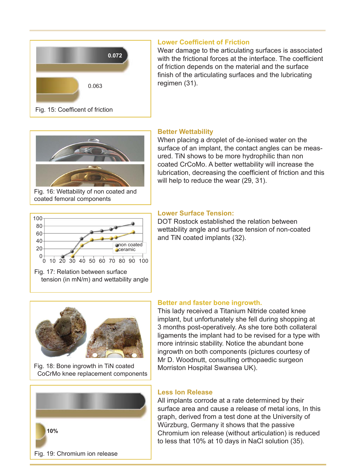

# **Lower Coefficient of Friction**

Wear damage to the articulating surfaces is associated with the frictional forces at the interface. The coefficient of friction depends on the material and the surface finish of the articulating surfaces and the lubricating regimen (31).



Fig. 16: Wettability of non coated and coated femoral components

# **Better Wettability**

**Lower Surface Tension:** 

and TiN coated implants (32).

When placing a droplet of de-ionised water on the surface of an implant, the contact angles can be measured. TiN shows to be more hydrophilic than non coated CrCoMo. A better wettability will increase the lubrication, decreasing the coefficient of friction and this will help to reduce the wear (29, 31).

DOT Rostock established the relation between wettability angle and surface tension of non-coated



Fig. 17: Relation between surface





Fig. 18: Bone ingrowth in TiN coated CoCrMo knee replacement components



# **Better and faster bone ingrowth.**

This lady received a Titanium Nitride coated knee implant, but unfortunately she fell during shopping at 3 months post-operatively. As she tore both collateral ligaments the implant had to be revised for a type with more intrinsic stability. Notice the abundant bone ingrowth on both components (pictures courtesy of Mr D. Woodnutt, consulting orthopaedic surgeon Morriston Hospital Swansea UK).

#### **Less Ion Release**

All implants corrode at a rate determined by their surface area and cause a release of metal ions, In this graph, derived from a test done at the University of Würzburg, Germany it shows that the passive Chromium ion release (without articulation) is reduced to less that 10% at 10 days in NaCl solution (35).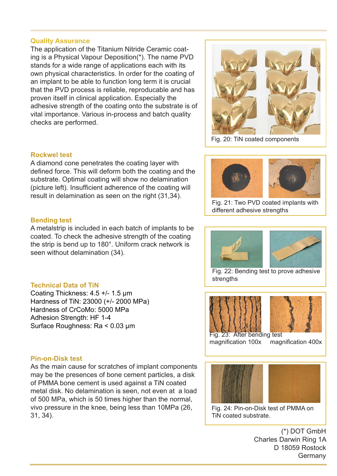#### **Quality Assurance**

The application of the Titanium Nitride Ceramic coating is a Physical Vapour Deposition(\*). The name PVD stands for a wide range of applications each with its own physical characteristics. In order for the coating of an implant to be able to function long term it is crucial that the PVD process is reliable, reproducable and has proven itself in clinical application. Especially the adhesive strength of the coating onto the substrate is of vital importance. Various in-process and batch quality checks are performed.



Fig. 20: TiN coated components

### **Rockwel test**

A diamond cone penetrates the coating layer with defined force. This will deform both the coating and the substrate. Optimal coating will show no delamination (picture left). Insufficient adherence of the coating will result in delamination as seen on the right (31,34).

#### **Bending test**

A metalstrip is included in each batch of implants to be coated. To check the adhesive strength of the coating the strip is bend up to 180°. Uniform crack network is seen without delamination (34).

#### **Technical Data of TiN**

Coating Thickness: 4.5 +/- 1.5 μm Hardness of TiN: 23000 (+/- 2000 MPa) Hardness of CrCoMo: 5000 MPa Adhesion Strength: HF 1-4 Surface Roughness: Ra < 0.03 μm

#### **Pin-on-Disk test**

As the main cause for scratches of implant components may be the presences of bone cement particles, a disk of PMMA bone cement is used against a TiN coated metal disk. No delamination is seen, not even at a load of 500 MPa, which is 50 times higher than the normal, vivo pressure in the knee, being less than 10MPa (26, 31, 34).



Fig. 21: Two PVD coated implants with different adhesive strengths





Fig. 22: Bending test to prove adhesive strengths





magnification 100x magnification 400x



Fig. 24: Pin-on-Disk test of PMMA on TiN coated substrate.

(\*) DOT GmbH Charles Darwin Ring 1A D 18059 Rostock Germany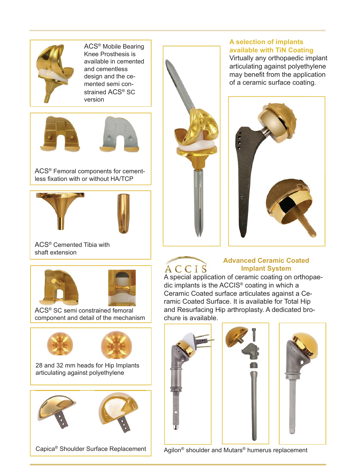

ACS® Mobile Bearing Knee Prosthesis is available in cemented and cementless design and the cemented semi constrained ACS<sup>®</sup> SC version





ACS® Femoral components for cementless fixation with or without HA/TCP





ACS® Cemented Tibia with shaft extension





ACS® SC semi constrained femoral component and detail of the mechanism



28 and 32 mm heads for Hip Implants articulating against polyethylene



# **A selection of implants available with TiN Coating**

Virtually any orthopaedic implant articulating against polyethylene may benefit from the application of a ceramic surface coating.



# **Advanced Ceramic Coated Implant System**

 $\overline{A}$   $\overline{C}$   $\overline{C}$   $\overline{I}$   $\overline{S}$  **Implant System**<br>A special application of ceramic coating on orthopaedic implants is the ACCIS® coating in which a Ceramic Coated surface articulates against a Ceramic Coated Surface. It is available for Total Hip and Resurfacing Hip arthroplasty. A dedicated brochure is available.





Agilon<sup>®</sup> shoulder and Mutars<sup>®</sup> humerus replacement